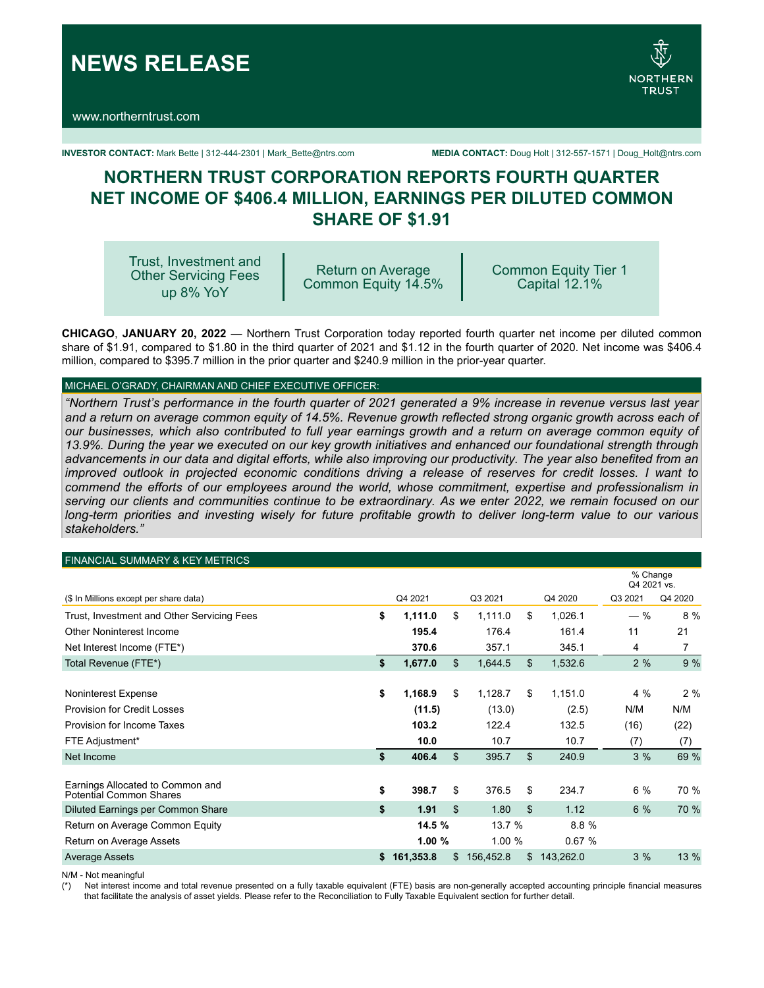**NEWS RELEASE**

www.northerntrust.com



**INVESTOR CONTACT:** Mark Bette | 312-444-2301 | Mark\_Bette@ntrs.com **MEDIA CONTACT:** Doug Holt | 312-557-1571 | Doug\_Holt@ntrs.com

# **NORTHERN TRUST CORPORATION REPORTS FOURTH QUARTER NET INCOME OF \$406.4 MILLION, EARNINGS PER DILUTED COMMON SHARE OF \$1.91**

Trust, Investment and Other Servicing Fees up 8% YoY

Return on Average Common Equity 14.5% Common Equity Tier 1 Capital 12.1%

**CHICAGO**, **JANUARY 20, 2022** — Northern Trust Corporation today reported fourth quarter net income per diluted common share of \$1.91, compared to \$1.80 in the third quarter of 2021 and \$1.12 in the fourth quarter of 2020. Net income was \$406.4 million, compared to \$395.7 million in the prior quarter and \$240.9 million in the prior-year quarter.

# MICHAEL O'GRADY, CHAIRMAN AND CHIEF EXECUTIVE OFFICER:

*"Northern Trust's performance in the fourth quarter of 2021 generated a 9% increase in revenue versus last year*  and a return on average common equity of 14.5%. Revenue growth reflected strong organic growth across each of *our businesses, which also contributed to full year earnings growth and a return on average common equity of 13.9%. During the year we executed on our key growth initiatives and enhanced our foundational strength through advancements in our data and digital efforts, while also improving our productivity. The year also benefited from an improved outlook in projected economic conditions driving a release of reserves for credit losses. I want to commend the efforts of our employees around the world, whose commitment, expertise and professionalism in serving our clients and communities continue to be extraordinary. As we enter 2022, we remain focused on our long-term priorities and investing wisely for future profitable growth to deliver long-term value to our various stakeholders."*

#### FINANCIAL SUMMARY & KEY METRICS

|                                                             |                 |                |           | % Change<br>Q4 2021 vs. |         |         |
|-------------------------------------------------------------|-----------------|----------------|-----------|-------------------------|---------|---------|
| (\$ In Millions except per share data)                      | Q4 2021         |                | Q3 2021   | Q4 2020                 | Q3 2021 | Q4 2020 |
| Trust, Investment and Other Servicing Fees                  | \$<br>1,111.0   | \$             | 1,111.0   | \$<br>1,026.1           | $-$ %   | 8 %     |
| Other Noninterest Income                                    | 195.4           |                | 176.4     | 161.4                   | 11      | 21      |
| Net Interest Income (FTE*)                                  | 370.6           |                | 357.1     | 345.1                   | 4       | 7       |
| Total Revenue (FTE*)                                        | \$<br>1,677.0   | $\mathfrak{S}$ | 1,644.5   | \$<br>1,532.6           | 2%      | 9%      |
|                                                             |                 |                |           |                         |         |         |
| Noninterest Expense                                         | \$<br>1,168.9   | \$             | 1,128.7   | \$<br>1,151.0           | 4%      | 2%      |
| <b>Provision for Credit Losses</b>                          | (11.5)          |                | (13.0)    | (2.5)                   | N/M     | N/M     |
| Provision for Income Taxes                                  | 103.2           |                | 122.4     | 132.5                   | (16)    | (22)    |
| FTE Adjustment*                                             | 10.0            |                | 10.7      | 10.7                    | (7)     | (7)     |
| Net Income                                                  | \$<br>406.4     | \$             | 395.7     | \$<br>240.9             | 3%      | 69 %    |
|                                                             |                 |                |           |                         |         |         |
| Earnings Allocated to Common and<br>Potential Common Shares | \$<br>398.7     | \$             | 376.5     | \$<br>234.7             | $6\%$   | 70 %    |
| Diluted Earnings per Common Share                           | \$<br>1.91      | \$             | 1.80      | \$<br>1.12              | 6%      | 70 %    |
| Return on Average Common Equity                             | 14.5 %          |                | 13.7 %    | 8.8%                    |         |         |
| Return on Average Assets                                    | 1.00%           |                | 1.00 %    | 0.67%                   |         |         |
| <b>Average Assets</b>                                       | \$<br>161,353.8 | \$             | 156,452.8 | \$<br>143,262.0         | 3%      | 13 %    |

N/M - Not meaningful

(\*) Net interest income and total revenue presented on a fully taxable equivalent (FTE) basis are non-generally accepted accounting principle financial measures that facilitate the analysis of asset yields. Please refer to the Reconciliation to Fully Taxable Equivalent section for further detail.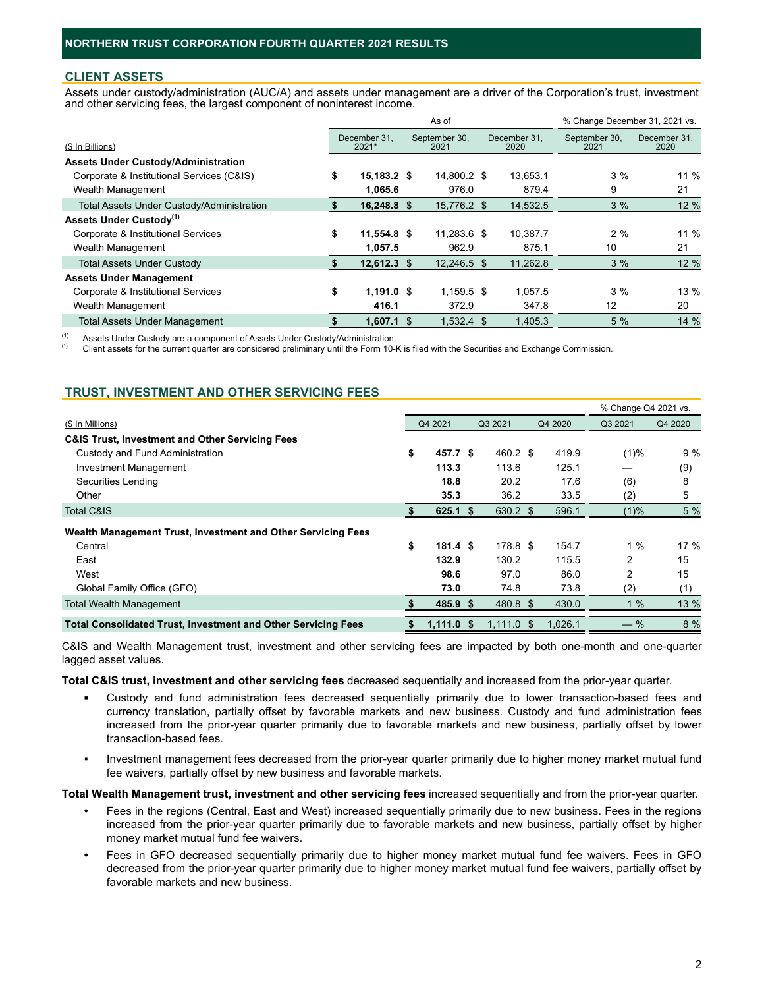#### **CLIENT ASSETS**

Assets under custody/administration (AUC/A) and assets under management are a driver of the Corporation's trust, investment and other servicing fees, the largest component of noninterest income.

|                                                  |    |                       | As of                 |  | % Change December 31, 2021 vs. |                       |                      |
|--------------------------------------------------|----|-----------------------|-----------------------|--|--------------------------------|-----------------------|----------------------|
| (\$ In Billions)                                 |    | December 31.<br>2021* | September 30,<br>2021 |  | December 31.<br>2020           | September 30,<br>2021 | December 31.<br>2020 |
| <b>Assets Under Custody/Administration</b>       |    |                       |                       |  |                                |                       |                      |
| Corporate & Institutional Services (C&IS)        | \$ | 15.183.2 \$           | 14,800.2 \$           |  | 13.653.1                       | 3%                    | 11 %                 |
| Wealth Management                                |    | 1.065.6               | 976.0                 |  | 879.4                          | 9                     | 21                   |
| <b>Total Assets Under Custody/Administration</b> |    | 16.248.8 \$           | 15.776.2 \$           |  | 14,532.5                       | 3%                    | 12 %                 |
| <b>Assets Under Custody</b> <sup>(1)</sup>       |    |                       |                       |  |                                |                       |                      |
| Corporate & Institutional Services               | \$ | 11,554.8 \$           | 11,283.6 \$           |  | 10.387.7                       | 2%                    | 11 %                 |
| Wealth Management                                |    | 1.057.5               | 962.9                 |  | 875.1                          | 10                    | 21                   |
| <b>Total Assets Under Custody</b>                |    | $12.612.3$ \$         | 12.246.5 \$           |  | 11.262.8                       | 3%                    | 12 %                 |
| <b>Assets Under Management</b>                   |    |                       |                       |  |                                |                       |                      |
| Corporate & Institutional Services               | \$ | $1,191.0$ \$          | $1.159.5$ \$          |  | 1.057.5                        | 3%                    | 13 %                 |
| Wealth Management                                |    | 416.1                 | 372.9                 |  | 347.8                          | 12                    | 20                   |
| <b>Total Assets Under Management</b>             |    | $1,607.1$ \$          | $1,532.4$ \$          |  | 1.405.3                        | 5%                    | 14 %                 |

(1) Assets Under Custody are a component of Assets Under Custody/Administration.<br>(2) Client assets for the current quarter are considered proliminary until the Ferm 10.

Client assets for the current quarter are considered preliminary until the Form 10-K is filed with the Securities and Exchange Commission.

## **TRUST, INVESTMENT AND OTHER SERVICING FEES**

|                                                                      |                           |  |              |  |         | % Change Q4 2021 vs. |         |  |  |
|----------------------------------------------------------------------|---------------------------|--|--------------|--|---------|----------------------|---------|--|--|
| (\$ In Millions)                                                     | Q4 2021                   |  | Q3 2021      |  | Q4 2020 | Q3 2021              | Q4 2020 |  |  |
| <b>C&amp;IS Trust, Investment and Other Servicing Fees</b>           |                           |  |              |  |         |                      |         |  |  |
| Custody and Fund Administration                                      | \$<br>457.7 \$            |  | 460.2 \$     |  | 419.9   | $(1)\%$              | 9%      |  |  |
| <b>Investment Management</b>                                         | 113.3                     |  | 113.6        |  | 125.1   |                      | (9)     |  |  |
| Securities Lending                                                   | 18.8                      |  | 20.2         |  | 17.6    | (6)                  | 8       |  |  |
| Other                                                                | 35.3                      |  | 36.2         |  | 33.5    | (2)                  | 5       |  |  |
| Total C&IS                                                           | $625.1$ \$                |  | 630.2 \$     |  | 596.1   | $(1)\%$              | 5 %     |  |  |
| Wealth Management Trust, Investment and Other Servicing Fees         |                           |  |              |  |         |                      |         |  |  |
| Central                                                              | \$<br>$181.4 \text{ }$ \$ |  | 178.8 \$     |  | 154.7   | 1 %                  | $17\%$  |  |  |
| East                                                                 | 132.9                     |  | 130.2        |  | 115.5   | 2                    | 15      |  |  |
| West                                                                 | 98.6                      |  | 97.0         |  | 86.0    | 2                    | 15      |  |  |
| Global Family Office (GFO)                                           | 73.0                      |  | 74.8         |  | 73.8    | (2)                  | (1)     |  |  |
| <b>Total Wealth Management</b>                                       | 485.9 \$                  |  | 480.8 \$     |  | 430.0   | $\%$                 | 13 %    |  |  |
| <b>Total Consolidated Trust, Investment and Other Servicing Fees</b> | $1,111.0$ \$              |  | $1,111.0$ \$ |  | 1.026.1 | $-$ %                | 8 %     |  |  |

C&IS and Wealth Management trust, investment and other servicing fees are impacted by both one-month and one-quarter lagged asset values.

**Total C&IS trust, investment and other servicing fees** decreased sequentially and increased from the prior-year quarter.

- Custody and fund administration fees decreased sequentially primarily due to lower transaction-based fees and currency translation, partially offset by favorable markets and new business. Custody and fund administration fees increased from the prior-year quarter primarily due to favorable markets and new business, partially offset by lower transaction-based fees.
- Investment management fees decreased from the prior-year quarter primarily due to higher money market mutual fund fee waivers, partially offset by new business and favorable markets.

**Total Wealth Management trust, investment and other servicing fees** increased sequentially and from the prior-year quarter.

- **•** Fees in the regions (Central, East and West) increased sequentially primarily due to new business. Fees in the regions increased from the prior-year quarter primarily due to favorable markets and new business, partially offset by higher money market mutual fund fee waivers.
- **•** Fees in GFO decreased sequentially primarily due to higher money market mutual fund fee waivers. Fees in GFO decreased from the prior-year quarter primarily due to higher money market mutual fund fee waivers, partially offset by favorable markets and new business.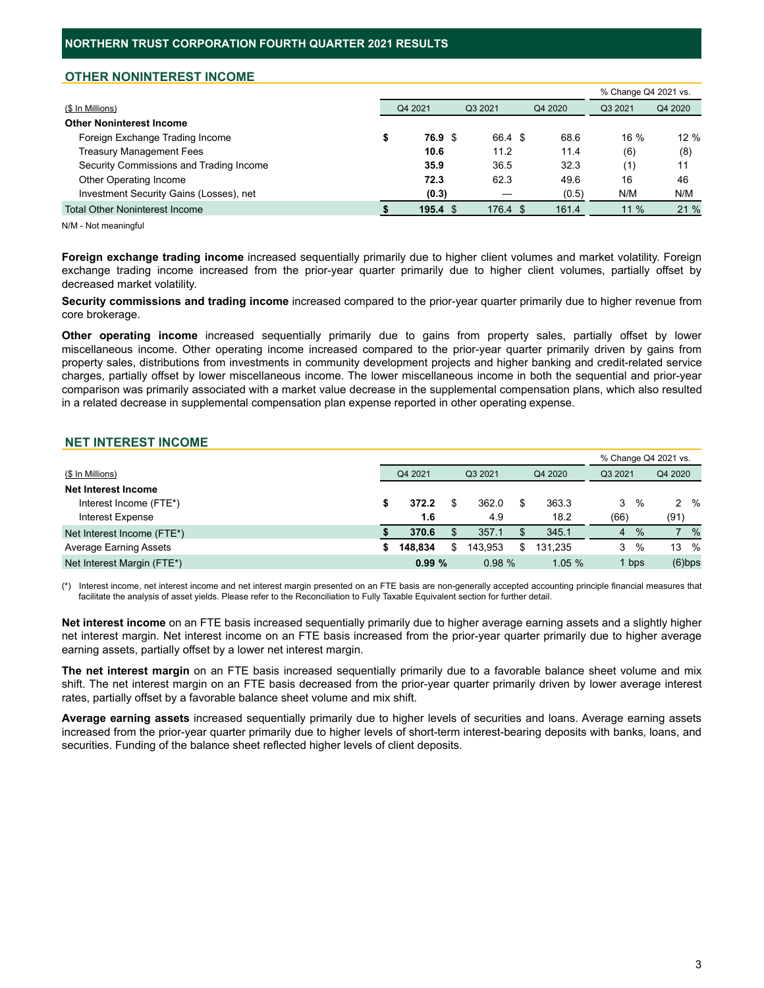## **OTHER NONINTEREST INCOME**

|                                         |  |                    |  |          |  | % Change Q4 2021 vs. |         |         |
|-----------------------------------------|--|--------------------|--|----------|--|----------------------|---------|---------|
| (\$ In Millions)                        |  | Q4 2021            |  | Q3 2021  |  | Q4 2020              | Q3 2021 | Q4 2020 |
| <b>Other Noninterest Income</b>         |  |                    |  |          |  |                      |         |         |
| Foreign Exchange Trading Income         |  | 76.9 \$            |  | 66.4 \$  |  | 68.6                 | 16 %    | $12 \%$ |
| <b>Treasury Management Fees</b>         |  | 10.6               |  | 11.2     |  | 11.4                 | (6)     | (8)     |
| Security Commissions and Trading Income |  | 35.9               |  | 36.5     |  | 32.3                 | (1)     | 11      |
| Other Operating Income                  |  | 72.3               |  | 62.3     |  | 49.6                 | 16      | 46      |
| Investment Security Gains (Losses), net |  | (0.3)              |  |          |  | (0.5)                | N/M     | N/M     |
| <b>Total Other Noninterest Income</b>   |  | 195.4 <sup>°</sup> |  | 176.4 \$ |  | 161.4                | $11\%$  | 21%     |

N/M - Not meaningful

**Foreign exchange trading income** increased sequentially primarily due to higher client volumes and market volatility. Foreign exchange trading income increased from the prior-year quarter primarily due to higher client volumes, partially offset by decreased market volatility.

**Security commissions and trading income** increased compared to the prior-year quarter primarily due to higher revenue from core brokerage.

**Other operating income** increased sequentially primarily due to gains from property sales, partially offset by lower miscellaneous income. Other operating income increased compared to the prior-year quarter primarily driven by gains from property sales, distributions from investments in community development projects and higher banking and credit-related service charges, partially offset by lower miscellaneous income. The lower miscellaneous income in both the sequential and prior-year comparison was primarily associated with a market value decrease in the supplemental compensation plans, which also resulted in a related decrease in supplemental compensation plan expense reported in other operating expense.

## **NET INTEREST INCOME**

|                               |    |         |         |         |         |       | % Change Q4 2021 vs. |
|-------------------------------|----|---------|---------|---------|---------|-------|----------------------|
| (\$ In Millions)              |    | Q4 2021 | Q3 2021 | Q4 2020 | Q3 2021 |       | Q4 2020              |
| Net Interest Income           |    |         |         |         |         |       |                      |
| Interest Income (FTE*)        | æ. | 372.2   | 362.0   | 363.3   | 3       | %     | $2 \frac{9}{6}$      |
| Interest Expense              |    | 1.6     | 4.9     | 18.2    | (66)    |       | (91)                 |
| Net Interest Income (FTE*)    |    | 370.6   | 357.1   | 345.1   | 4       | $\%$  | %                    |
| <b>Average Earning Assets</b> |    | 148.834 | 143.953 | 131.235 | 3       | %     | 13 %                 |
| Net Interest Margin (FTE*)    |    | 0.99%   | 0.98%   | 1.05%   |         | 1 bps | $(6)$ bps            |

(\*) Interest income, net interest income and net interest margin presented on an FTE basis are non-generally accepted accounting principle financial measures that facilitate the analysis of asset yields. Please refer to the Reconciliation to Fully Taxable Equivalent section for further detail.

**Net interest income** on an FTE basis increased sequentially primarily due to higher average earning assets and a slightly higher net interest margin. Net interest income on an FTE basis increased from the prior-year quarter primarily due to higher average earning assets, partially offset by a lower net interest margin.

**The net interest margin** on an FTE basis increased sequentially primarily due to a favorable balance sheet volume and mix shift. The net interest margin on an FTE basis decreased from the prior-year quarter primarily driven by lower average interest rates, partially offset by a favorable balance sheet volume and mix shift.

**Average earning assets** increased sequentially primarily due to higher levels of securities and loans. Average earning assets increased from the prior-year quarter primarily due to higher levels of short-term interest-bearing deposits with banks, loans, and securities. Funding of the balance sheet reflected higher levels of client deposits.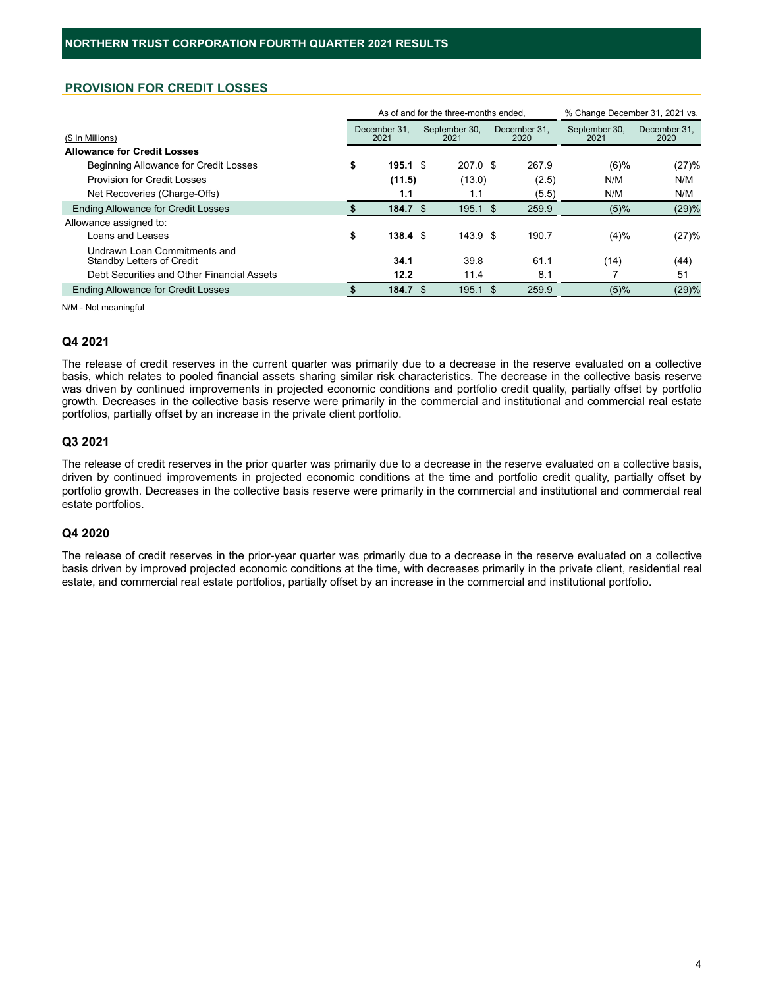# **PROVISION FOR CREDIT LOSSES**

|                                                                  |                           | As of and for the three-months ended. |  | % Change December 31, 2021 vs. |                       |                      |
|------------------------------------------------------------------|---------------------------|---------------------------------------|--|--------------------------------|-----------------------|----------------------|
| (\$ In Millions)                                                 | December 31.<br>2021      | September 30,<br>2021                 |  | December 31.<br>2020           | September 30,<br>2021 | December 31,<br>2020 |
| <b>Allowance for Credit Losses</b>                               |                           |                                       |  |                                |                       |                      |
| <b>Beginning Allowance for Credit Losses</b>                     | \$<br>$195.1 \text{ }$ \$ | $207.0$ \$                            |  | 267.9                          | $(6)$ %               | (27)%                |
| Provision for Credit Losses                                      | (11.5)                    | (13.0)                                |  | (2.5)                          | N/M                   | N/M                  |
| Net Recoveries (Charge-Offs)                                     | 1.1                       | 1.1                                   |  | (5.5)                          | N/M                   | N/M                  |
| <b>Ending Allowance for Credit Losses</b>                        | 184.7 S                   | $195.1$ \$                            |  | 259.9                          | $(5)\%$               | (29)%                |
| Allowance assigned to:                                           |                           |                                       |  |                                |                       |                      |
| Loans and Leases                                                 | \$<br>$138.4 \text{ } $$  | 143.9 <sup>5</sup>                    |  | 190.7                          | (4)%                  | (27)%                |
| Undrawn Loan Commitments and<br><b>Standby Letters of Credit</b> | 34.1                      | 39.8                                  |  | 61.1                           | (14)                  | (44)                 |
| Debt Securities and Other Financial Assets                       | 12.2                      | 11.4                                  |  | 8.1                            |                       | 51                   |
| <b>Ending Allowance for Credit Losses</b>                        | 184.7 S                   | $195.1$ \$                            |  | 259.9                          | $(5)\%$               | (29)%                |

N/M - Not meaningful

### **Q4 2021**

The release of credit reserves in the current quarter was primarily due to a decrease in the reserve evaluated on a collective basis, which relates to pooled financial assets sharing similar risk characteristics. The decrease in the collective basis reserve was driven by continued improvements in projected economic conditions and portfolio credit quality, partially offset by portfolio growth. Decreases in the collective basis reserve were primarily in the commercial and institutional and commercial real estate portfolios, partially offset by an increase in the private client portfolio.

#### **Q3 2021**

The release of credit reserves in the prior quarter was primarily due to a decrease in the reserve evaluated on a collective basis, driven by continued improvements in projected economic conditions at the time and portfolio credit quality, partially offset by portfolio growth. Decreases in the collective basis reserve were primarily in the commercial and institutional and commercial real estate portfolios.

## **Q4 2020**

The release of credit reserves in the prior-year quarter was primarily due to a decrease in the reserve evaluated on a collective basis driven by improved projected economic conditions at the time, with decreases primarily in the private client, residential real estate, and commercial real estate portfolios, partially offset by an increase in the commercial and institutional portfolio.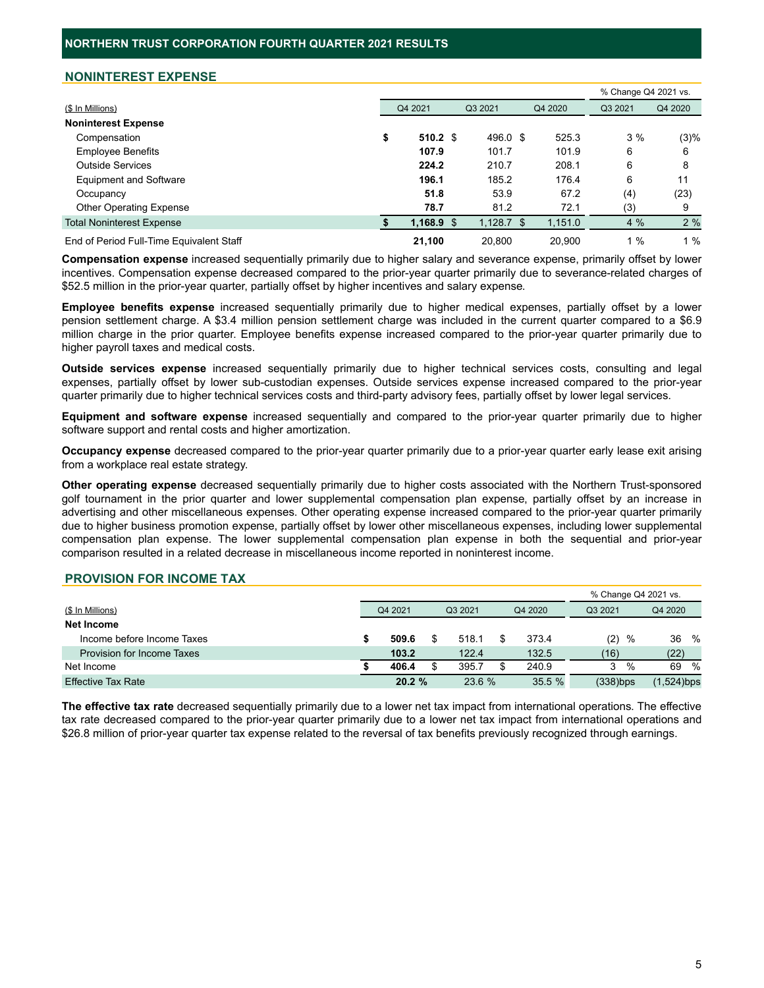## **NONINTEREST EXPENSE**

|                                          |               |              |         | % Change Q4 2021 vs. |         |
|------------------------------------------|---------------|--------------|---------|----------------------|---------|
| (\$ In Millions)                         | Q4 2021       | Q3 2021      | Q4 2020 | Q3 2021              | Q4 2020 |
| <b>Noninterest Expense</b>               |               |              |         |                      |         |
| Compensation                             | \$<br>510.2 S | 496.0 \$     | 525.3   | 3%                   | (3)%    |
| <b>Employee Benefits</b>                 | 107.9         | 101.7        | 101.9   | 6                    | 6       |
| <b>Outside Services</b>                  | 224.2         | 210.7        | 208.1   | 6                    | 8       |
| <b>Equipment and Software</b>            | 196.1         | 185.2        | 176.4   | 6                    | 11      |
| Occupancy                                | 51.8          | 53.9         | 67.2    | (4)                  | (23)    |
| <b>Other Operating Expense</b>           | 78.7          | 81.2         | 72.1    | (3)                  | 9       |
| <b>Total Noninterest Expense</b>         | $1,168.9$ \$  | $1,128.7$ \$ | 1,151.0 | 4%                   | 2%      |
| End of Period Full-Time Equivalent Staff | 21.100        | 20.800       | 20.900  | $\%$                 | 1%      |

**Compensation expense** increased sequentially primarily due to higher salary and severance expense, primarily offset by lower incentives. Compensation expense decreased compared to the prior-year quarter primarily due to severance-related charges of \$52.5 million in the prior-year quarter, partially offset by higher incentives and salary expense.

**Employee benefits expense** increased sequentially primarily due to higher medical expenses, partially offset by a lower pension settlement charge. A \$3.4 million pension settlement charge was included in the current quarter compared to a \$6.9 million charge in the prior quarter. Employee benefits expense increased compared to the prior-year quarter primarily due to higher payroll taxes and medical costs.

**Outside services expense** increased sequentially primarily due to higher technical services costs, consulting and legal expenses, partially offset by lower sub-custodian expenses. Outside services expense increased compared to the prior-year quarter primarily due to higher technical services costs and third-party advisory fees, partially offset by lower legal services.

**Equipment and software expense** increased sequentially and compared to the prior-year quarter primarily due to higher software support and rental costs and higher amortization.

**Occupancy expense** decreased compared to the prior-year quarter primarily due to a prior-year quarter early lease exit arising from a workplace real estate strategy.

**Other operating expense** decreased sequentially primarily due to higher costs associated with the Northern Trust-sponsored golf tournament in the prior quarter and lower supplemental compensation plan expense, partially offset by an increase in advertising and other miscellaneous expenses. Other operating expense increased compared to the prior-year quarter primarily due to higher business promotion expense, partially offset by lower other miscellaneous expenses, including lower supplemental compensation plan expense. The lower supplemental compensation plan expense in both the sequential and prior-year comparison resulted in a related decrease in miscellaneous income reported in noninterest income.

#### **PROVISION FOR INCOME TAX**

|                            |         |  |         |  | % Change Q4 2021 vs. |             |   |               |   |
|----------------------------|---------|--|---------|--|----------------------|-------------|---|---------------|---|
| (\$ In Millions)           | Q4 2021 |  | Q3 2021 |  | Q4 2020              | Q3 2021     |   | Q4 2020       |   |
| Net Income                 |         |  |         |  |                      |             |   |               |   |
| Income before Income Taxes | 509.6   |  | 518.1   |  | 373.4                | (2)         | % | 36            | % |
| Provision for Income Taxes | 103.2   |  | 122.4   |  | 132.5                | (16)        |   | (22)          |   |
| Net Income                 | 406.4   |  | 395.7   |  | 240.9                | 3           | % | 69            | % |
| <b>Effective Tax Rate</b>  | 20.2%   |  | 23.6 %  |  | 35.5%                | $(338)$ bps |   | $(1,524)$ bps |   |

**The effective tax rate** decreased sequentially primarily due to a lower net tax impact from international operations. The effective tax rate decreased compared to the prior-year quarter primarily due to a lower net tax impact from international operations and \$26.8 million of prior-year quarter tax expense related to the reversal of tax benefits previously recognized through earnings.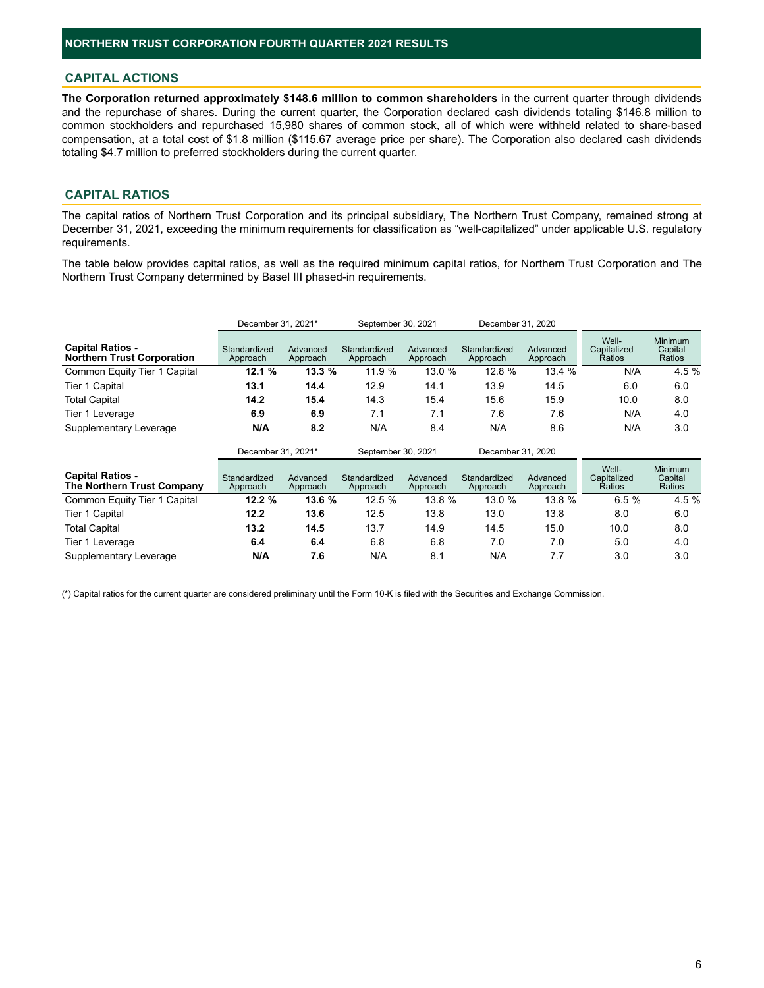## **CAPITAL ACTIONS**

**The Corporation returned approximately \$148.6 million to common shareholders** in the current quarter through dividends and the repurchase of shares. During the current quarter, the Corporation declared cash dividends totaling \$146.8 million to common stockholders and repurchased 15,980 shares of common stock, all of which were withheld related to share-based compensation, at a total cost of \$1.8 million (\$115.67 average price per share). The Corporation also declared cash dividends totaling \$4.7 million to preferred stockholders during the current quarter.

## **CAPITAL RATIOS**

The capital ratios of Northern Trust Corporation and its principal subsidiary, The Northern Trust Company, remained strong at December 31, 2021, exceeding the minimum requirements for classification as "well-capitalized" under applicable U.S. regulatory requirements.

The table below provides capital ratios, as well as the required minimum capital ratios, for Northern Trust Corporation and The Northern Trust Company determined by Basel III phased-in requirements.

|                                                              | December 31, 2021*       |                      | September 30, 2021       |                      | December 31, 2020        |                      |                                |                                     |
|--------------------------------------------------------------|--------------------------|----------------------|--------------------------|----------------------|--------------------------|----------------------|--------------------------------|-------------------------------------|
| <b>Capital Ratios -</b><br><b>Northern Trust Corporation</b> | Standardized<br>Approach | Advanced<br>Approach | Standardized<br>Approach | Advanced<br>Approach | Standardized<br>Approach | Advanced<br>Approach | Well-<br>Capitalized<br>Ratios | <b>Minimum</b><br>Capital<br>Ratios |
| Common Equity Tier 1 Capital                                 | 12.1 %                   | 13.3 %               | 11.9 %                   | 13.0 %               | 12.8 %                   | 13.4 %               | N/A                            | 4.5 %                               |
| Tier 1 Capital                                               | 13.1                     | 14.4                 | 12.9                     | 14.1                 | 13.9                     | 14.5                 | 6.0                            | 6.0                                 |
| <b>Total Capital</b>                                         | 14.2                     | 15.4                 | 14.3                     | 15.4                 | 15.6                     | 15.9                 | 10.0                           | 8.0                                 |
| Tier 1 Leverage                                              | 6.9                      | 6.9                  | 7.1                      | 7.1                  | 7.6                      | 7.6                  | N/A                            | 4.0                                 |
| Supplementary Leverage                                       | N/A                      | 8.2                  | N/A                      | 8.4                  | N/A                      | 8.6                  | N/A                            | 3.0                                 |
|                                                              | December 31, 2021*       |                      | September 30, 2021       |                      | December 31, 2020        |                      |                                |                                     |
| <b>Capital Ratios -</b><br>The Northern Trust Company        | Standardized<br>Approach | Advanced<br>Approach | Standardized<br>Approach | Advanced<br>Approach | Standardized<br>Approach | Advanced<br>Approach | Well-<br>Capitalized<br>Ratios | <b>Minimum</b><br>Capital<br>Ratios |
| Common Equity Tier 1 Capital                                 | 12.2%                    | 13.6 %               | 12.5 %                   | 13.8 %               | 13.0 %                   | 13.8 %               | 6.5%                           | 4.5 %                               |
| <b>Tier 1 Capital</b>                                        | 12.2                     | 13.6                 | 12.5                     | 13.8                 | 13.0                     | 13.8                 | 8.0                            | 6.0                                 |
| <b>Total Capital</b>                                         | 13.2                     | 14.5                 | 13.7                     | 14.9                 | 14.5                     | 15.0                 | 10.0                           | 8.0                                 |
| Tier 1 Leverage                                              | 6.4                      | 6.4                  | 6.8                      | 6.8                  | 7.0                      | 7.0                  | 5.0                            | 4.0                                 |
| Supplementary Leverage                                       | N/A                      | 7.6                  | N/A                      | 8.1                  | N/A                      | 7.7                  | 3.0                            | 3.0                                 |

(\*) Capital ratios for the current quarter are considered preliminary until the Form 10-K is filed with the Securities and Exchange Commission.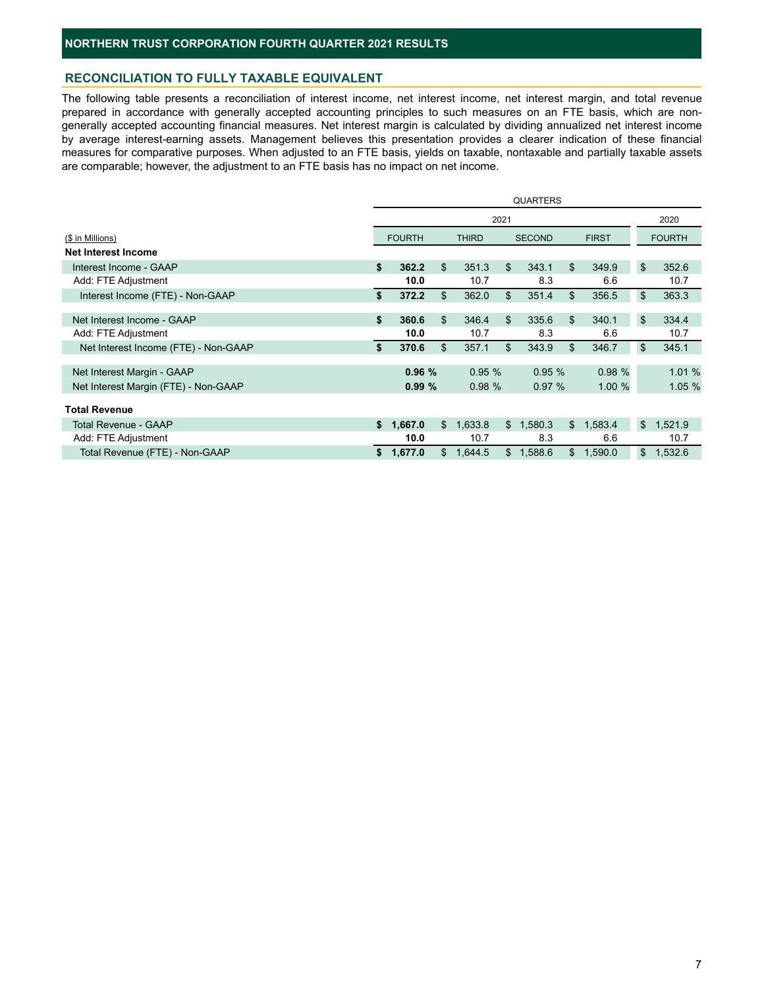## **RECONCILIATION TO FULLY TAXABLE EQUIVALENT**

The following table presents a reconciliation of interest income, net interest income, net interest margin, and total revenue prepared in accordance with generally accepted accounting principles to such measures on an FTE basis, which are nongenerally accepted accounting financial measures. Net interest margin is calculated by dividing annualized net interest income by average interest-earning assets. Management believes this presentation provides a clearer indication of these financial measures for comparative purposes. When adjusted to an FTE basis, yields on taxable, nontaxable and partially taxable assets are comparable; however, the adjustment to an FTE basis has no impact on net income.

|                                      | <b>QUARTERS</b> |               |              |              |      |               |    |              |                |               |
|--------------------------------------|-----------------|---------------|--------------|--------------|------|---------------|----|--------------|----------------|---------------|
|                                      |                 |               |              |              | 2021 |               |    |              |                | 2020          |
| (\$ in Millions)                     |                 | <b>FOURTH</b> |              | <b>THIRD</b> |      | <b>SECOND</b> |    | <b>FIRST</b> |                | <b>FOURTH</b> |
| <b>Net Interest Income</b>           |                 |               |              |              |      |               |    |              |                |               |
| Interest Income - GAAP               | \$              | 362.2         | \$           | 351.3        | \$   | 343.1         | \$ | 349.9        | \$             | 352.6         |
| Add: FTE Adjustment                  |                 | 10.0          |              | 10.7         |      | 8.3           |    | 6.6          |                | 10.7          |
| Interest Income (FTE) - Non-GAAP     | \$              | 372.2         | \$           | 362.0        | \$   | 351.4         | \$ | 356.5        | \$             | 363.3         |
|                                      |                 |               |              |              |      |               |    |              |                |               |
| Net Interest Income - GAAP           | \$              | 360.6         | \$           | 346.4        | \$   | 335.6         | \$ | 340.1        | \$             | 334.4         |
| Add: FTE Adjustment                  |                 | 10.0          |              | 10.7         |      | 8.3           |    | 6.6          |                | 10.7          |
| Net Interest Income (FTE) - Non-GAAP | \$              | 370.6         | \$           | 357.1        | \$   | 343.9         | \$ | 346.7        | \$             | 345.1         |
|                                      |                 |               |              |              |      |               |    |              |                |               |
| Net Interest Margin - GAAP           |                 | 0.96%         |              | 0.95%        |      | 0.95%         |    | 0.98%        |                | 1.01 %        |
| Net Interest Margin (FTE) - Non-GAAP |                 | 0.99%         |              | 0.98%        |      | 0.97%         |    | 1.00%        |                | 1.05 %        |
|                                      |                 |               |              |              |      |               |    |              |                |               |
| <b>Total Revenue</b>                 |                 |               |              |              |      |               |    |              |                |               |
| <b>Total Revenue - GAAP</b>          | \$              | 1,667.0       | \$           | 1,633.8      |      | \$1,580.3     | \$ | 1,583.4      | \$             | 1,521.9       |
| Add: FTE Adjustment                  |                 | 10.0          |              | 10.7         |      | 8.3           |    | 6.6          |                | 10.7          |
| Total Revenue (FTE) - Non-GAAP       |                 | \$1,677.0     | $\mathbb{S}$ | 1,644.5      |      | \$1,588.6     | \$ | 1,590.0      | $\mathfrak{S}$ | 1,532.6       |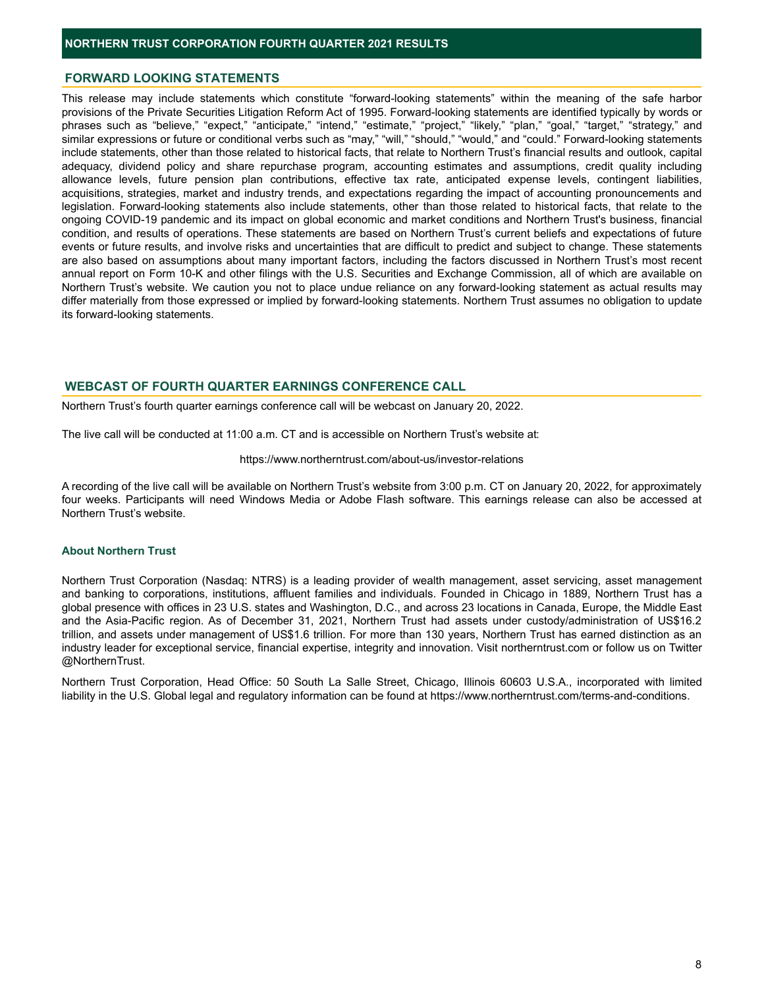#### **FORWARD LOOKING STATEMENTS**

This release may include statements which constitute "forward-looking statements" within the meaning of the safe harbor provisions of the Private Securities Litigation Reform Act of 1995. Forward-looking statements are identified typically by words or phrases such as "believe," "expect," "anticipate," "intend," "estimate," "project," "likely," "plan," "goal," "target," "strategy," and similar expressions or future or conditional verbs such as "may," "will," "should," "would," and "could." Forward-looking statements include statements, other than those related to historical facts, that relate to Northern Trust's financial results and outlook, capital adequacy, dividend policy and share repurchase program, accounting estimates and assumptions, credit quality including allowance levels, future pension plan contributions, effective tax rate, anticipated expense levels, contingent liabilities, acquisitions, strategies, market and industry trends, and expectations regarding the impact of accounting pronouncements and legislation. Forward-looking statements also include statements, other than those related to historical facts, that relate to the ongoing COVID-19 pandemic and its impact on global economic and market conditions and Northern Trust's business, financial condition, and results of operations. These statements are based on Northern Trust's current beliefs and expectations of future events or future results, and involve risks and uncertainties that are difficult to predict and subject to change. These statements are also based on assumptions about many important factors, including the factors discussed in Northern Trust's most recent annual report on Form 10-K and other filings with the U.S. Securities and Exchange Commission, all of which are available on Northern Trust's website. We caution you not to place undue reliance on any forward-looking statement as actual results may differ materially from those expressed or implied by forward-looking statements. Northern Trust assumes no obligation to update its forward-looking statements.

#### **WEBCAST OF FOURTH QUARTER EARNINGS CONFERENCE CALL**

Northern Trust's fourth quarter earnings conference call will be webcast on January 20, 2022.

The live call will be conducted at 11:00 a.m. CT and is accessible on Northern Trust's website at:

#### https://www.northerntrust.com/about-us/investor-relations

A recording of the live call will be available on Northern Trust's website from 3:00 p.m. CT on January 20, 2022, for approximately four weeks. Participants will need Windows Media or Adobe Flash software. This earnings release can also be accessed at Northern Trust's website.

#### **About Northern Trust**

Northern Trust Corporation (Nasdaq: NTRS) is a leading provider of wealth management, asset servicing, asset management and banking to corporations, institutions, affluent families and individuals. Founded in Chicago in 1889, Northern Trust has a global presence with offices in 23 U.S. states and Washington, D.C., and across 23 locations in Canada, Europe, the Middle East and the Asia-Pacific region. As of December 31, 2021, Northern Trust had assets under custody/administration of US\$16.2 trillion, and assets under management of US\$1.6 trillion. For more than 130 years, Northern Trust has earned distinction as an industry leader for exceptional service, financial expertise, integrity and innovation. Visit northerntrust.com or follow us on Twitter @NorthernTrust.

Northern Trust Corporation, Head Office: 50 South La Salle Street, Chicago, Illinois 60603 U.S.A., incorporated with limited liability in the U.S. Global legal and regulatory information can be found at https://www.northerntrust.com/terms-and-conditions.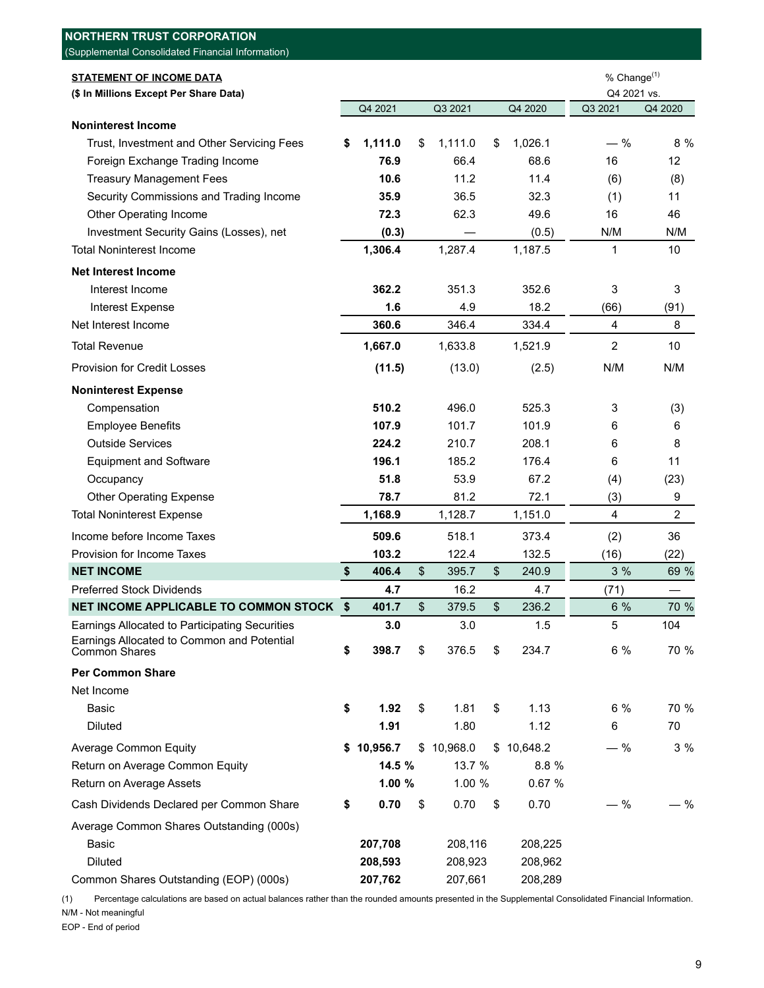| <b>NORTHERN TRUST CORPORATION</b>                                  |               |               |       |            |                         |                          |
|--------------------------------------------------------------------|---------------|---------------|-------|------------|-------------------------|--------------------------|
| (Supplemental Consolidated Financial Information)                  |               |               |       |            |                         |                          |
| <b>STATEMENT OF INCOME DATA</b>                                    |               |               |       |            | % Change $(1)$          |                          |
| (\$ In Millions Except Per Share Data)                             |               |               |       |            | Q4 2021 vs.             |                          |
|                                                                    | Q4 2021       | Q3 2021       |       | Q4 2020    | Q3 2021                 | Q4 2020                  |
| <b>Noninterest Income</b>                                          |               |               |       |            |                         |                          |
| Trust, Investment and Other Servicing Fees                         | \$<br>1,111.0 | \$<br>1,111.0 | \$    | 1,026.1    | $-$ %                   | 8 %                      |
| Foreign Exchange Trading Income                                    | 76.9          | 66.4          |       | 68.6       | 16                      | 12                       |
| <b>Treasury Management Fees</b>                                    | 10.6          | 11.2          |       | 11.4       | (6)                     | (8)                      |
| Security Commissions and Trading Income                            | 35.9          | 36.5          |       | 32.3       | (1)                     | 11                       |
| Other Operating Income                                             | 72.3          | 62.3          |       | 49.6       | 16                      | 46                       |
| Investment Security Gains (Losses), net                            | (0.3)         |               |       | (0.5)      | N/M                     | N/M                      |
| <b>Total Noninterest Income</b>                                    | 1,306.4       | 1,287.4       |       | 1,187.5    | 1                       | 10                       |
| <b>Net Interest Income</b>                                         |               |               |       |            |                         |                          |
| Interest Income                                                    | 362.2         | 351.3         |       | 352.6      | 3                       | 3                        |
| <b>Interest Expense</b>                                            | 1.6           | 4.9           |       | 18.2       | (66)                    | (91)                     |
| Net Interest Income                                                | 360.6         | 346.4         |       | 334.4      | $\overline{\mathbf{4}}$ | 8                        |
| <b>Total Revenue</b>                                               | 1,667.0       | 1,633.8       |       | 1,521.9    | $\overline{c}$          | 10                       |
| <b>Provision for Credit Losses</b>                                 | (11.5)        | (13.0)        |       | (2.5)      | N/M                     | N/M                      |
| <b>Noninterest Expense</b>                                         |               |               |       |            |                         |                          |
| Compensation                                                       | 510.2         | 496.0         |       | 525.3      | 3                       | (3)                      |
| <b>Employee Benefits</b>                                           | 107.9         | 101.7         |       | 101.9      | 6                       | 6                        |
| <b>Outside Services</b>                                            | 224.2         | 210.7         |       | 208.1      | 6                       | 8                        |
| <b>Equipment and Software</b>                                      | 196.1         | 185.2         |       | 176.4      | 6                       | 11                       |
| Occupancy                                                          | 51.8          | 53.9          |       | 67.2       | (4)                     | (23)                     |
| <b>Other Operating Expense</b>                                     | 78.7          | 81.2          |       | 72.1       | (3)                     | 9                        |
| <b>Total Noninterest Expense</b>                                   | 1,168.9       | 1,128.7       |       | 1,151.0    | $\overline{4}$          | $\overline{c}$           |
| Income before Income Taxes                                         | 509.6         | 518.1         |       | 373.4      | (2)                     | 36                       |
| Provision for Income Taxes                                         | 103.2         | 122.4         |       | 132.5      | (16)                    | (22)                     |
| <b>NET INCOME</b>                                                  | \$<br>406.4   | \$<br>395.7   | \$    | 240.9      | 3%                      | 69 %                     |
| <b>Preferred Stock Dividends</b>                                   | 4.7           | 16.2          |       | 4.7        | (71)                    | $\overline{\phantom{0}}$ |
| NET INCOME APPLICABLE TO COMMON STOCK \$                           | 401.7         | \$<br>379.5   | $\$\$ | 236.2      | 6 %                     | 70 %                     |
| Earnings Allocated to Participating Securities                     | 3.0           | 3.0           |       | 1.5        | 5                       | 104                      |
| Earnings Allocated to Common and Potential<br><b>Common Shares</b> | \$<br>398.7   | \$<br>376.5   | \$    | 234.7      | 6 %                     | 70 %                     |
| <b>Per Common Share</b>                                            |               |               |       |            |                         |                          |
| Net Income                                                         |               |               |       |            |                         |                          |
| <b>Basic</b>                                                       | \$<br>1.92    | \$<br>1.81    | \$    | 1.13       | 6%                      | 70 %                     |
| <b>Diluted</b>                                                     | 1.91          | 1.80          |       | 1.12       | 6                       | 70                       |
| <b>Average Common Equity</b>                                       | \$10,956.7    | \$10,968.0    |       | \$10,648.2 | $-$ %                   | 3 %                      |
| Return on Average Common Equity                                    | 14.5 %        | 13.7 %        |       | 8.8 %      |                         |                          |
| Return on Average Assets                                           | 1.00%         | 1.00 %        |       | 0.67 %     |                         |                          |
| Cash Dividends Declared per Common Share                           | \$<br>0.70    | \$<br>0.70    | \$    | 0.70       | $-$ %                   | - %                      |
| Average Common Shares Outstanding (000s)                           |               |               |       |            |                         |                          |
| <b>Basic</b>                                                       | 207,708       | 208,116       |       | 208,225    |                         |                          |
| <b>Diluted</b>                                                     | 208,593       | 208,923       |       | 208,962    |                         |                          |
| Common Shares Outstanding (EOP) (000s)                             | 207,762       | 207,661       |       | 208,289    |                         |                          |

(1) Percentage calculations are based on actual balances rather than the rounded amounts presented in the Supplemental Consolidated Financial Information. N/M - Not meaningful

EOP - End of period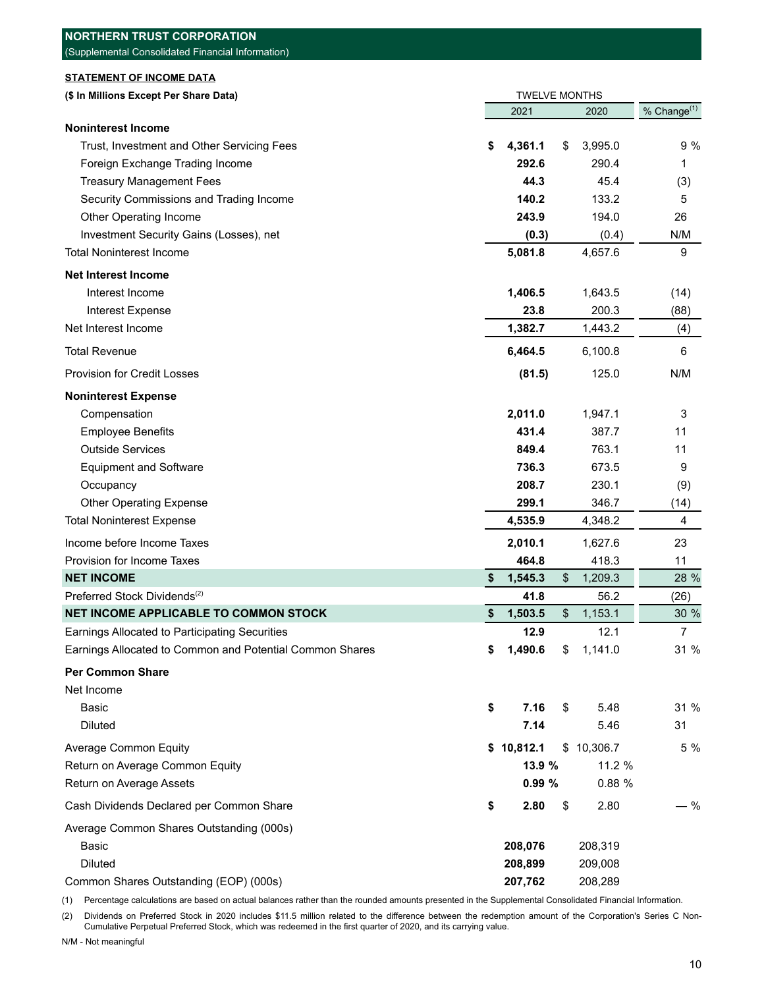| <b>NORTHERN TRUST CORPORATION</b>                        |                                |                         |
|----------------------------------------------------------|--------------------------------|-------------------------|
| (Supplemental Consolidated Financial Information)        |                                |                         |
| <b>STATEMENT OF INCOME DATA</b>                          |                                |                         |
| (\$ In Millions Except Per Share Data)                   | <b>TWELVE MONTHS</b>           |                         |
|                                                          | 2021<br>2020                   | % Change <sup>(1)</sup> |
| <b>Noninterest Income</b>                                |                                |                         |
| Trust, Investment and Other Servicing Fees               | 4,361.1<br>3,995.0<br>\$<br>\$ | 9 %                     |
| Foreign Exchange Trading Income                          | 292.6<br>290.4                 | 1                       |
| <b>Treasury Management Fees</b>                          | 45.4<br>44.3                   | (3)                     |
| Security Commissions and Trading Income                  | 140.2<br>133.2                 | 5                       |
| Other Operating Income                                   | 243.9<br>194.0                 | 26                      |
| Investment Security Gains (Losses), net                  | (0.3)<br>(0.4)                 | N/M                     |
| <b>Total Noninterest Income</b>                          | 5,081.8<br>4,657.6             | 9                       |
| <b>Net Interest Income</b>                               |                                |                         |
| Interest Income                                          | 1,406.5<br>1,643.5             | (14)                    |
| Interest Expense                                         | 200.3<br>23.8                  | (88)                    |
| Net Interest Income                                      | 1,382.7<br>1,443.2             | (4)                     |
| <b>Total Revenue</b>                                     | 6,464.5<br>6,100.8             | 6                       |
| <b>Provision for Credit Losses</b>                       | 125.0<br>(81.5)                | N/M                     |
|                                                          |                                |                         |
| <b>Noninterest Expense</b>                               |                                |                         |
| Compensation                                             | 2,011.0<br>1,947.1             | 3                       |
| <b>Employee Benefits</b>                                 | 431.4<br>387.7                 | 11                      |
| <b>Outside Services</b>                                  | 763.1<br>849.4                 | 11                      |
| <b>Equipment and Software</b>                            | 736.3<br>673.5                 | 9                       |
| Occupancy                                                | 208.7<br>230.1                 | (9)                     |
| <b>Other Operating Expense</b>                           | 299.1<br>346.7                 | (14)                    |
| <b>Total Noninterest Expense</b>                         | 4,535.9<br>4,348.2             | 4                       |
| Income before Income Taxes                               | 2,010.1<br>1,627.6             | 23                      |
| Provision for Income Taxes                               | 464.8<br>418.3                 | 11                      |
| <b>NET INCOME</b>                                        | 1,545.3<br>\$<br>1,209.3<br>\$ | 28 %                    |
| Preferred Stock Dividends <sup>(2)</sup>                 | 41.8<br>56.2                   | (26)                    |
| NET INCOME APPLICABLE TO COMMON STOCK                    | 1,503.5<br>\$<br>1,153.1<br>\$ | 30 %                    |
| Earnings Allocated to Participating Securities           | 12.9<br>12.1                   | $\overline{7}$          |
| Earnings Allocated to Common and Potential Common Shares | 1,490.6<br>1,141.0<br>\$<br>\$ | 31 %                    |
| <b>Per Common Share</b>                                  |                                |                         |
| Net Income                                               |                                |                         |
| Basic                                                    | \$<br>7.16<br>\$<br>5.48       | 31 %                    |
| <b>Diluted</b>                                           | 7.14<br>5.46                   | 31                      |
| <b>Average Common Equity</b>                             | \$10,812.1<br>\$10,306.7       | 5 %                     |
| Return on Average Common Equity                          | 13.9 %<br>11.2 %               |                         |
|                                                          |                                |                         |
| Return on Average Assets                                 | 0.99%<br>0.88 %                |                         |
| Cash Dividends Declared per Common Share                 | \$<br>2.80<br>2.80<br>\$       | $-$ %                   |
| Average Common Shares Outstanding (000s)                 |                                |                         |
| <b>Basic</b>                                             | 208,076<br>208,319             |                         |
| <b>Diluted</b>                                           | 209,008<br>208,899             |                         |
| Common Shares Outstanding (EOP) (000s)                   | 207,762<br>208,289             |                         |

(1) Percentage calculations are based on actual balances rather than the rounded amounts presented in the Supplemental Consolidated Financial Information.

(2) Dividends on Preferred Stock in 2020 includes \$11.5 million related to the difference between the redemption amount of the Corporation's Series C Non-Cumulative Perpetual Preferred Stock, which was redeemed in the first quarter of 2020, and its carrying value.

N/M - Not meaningful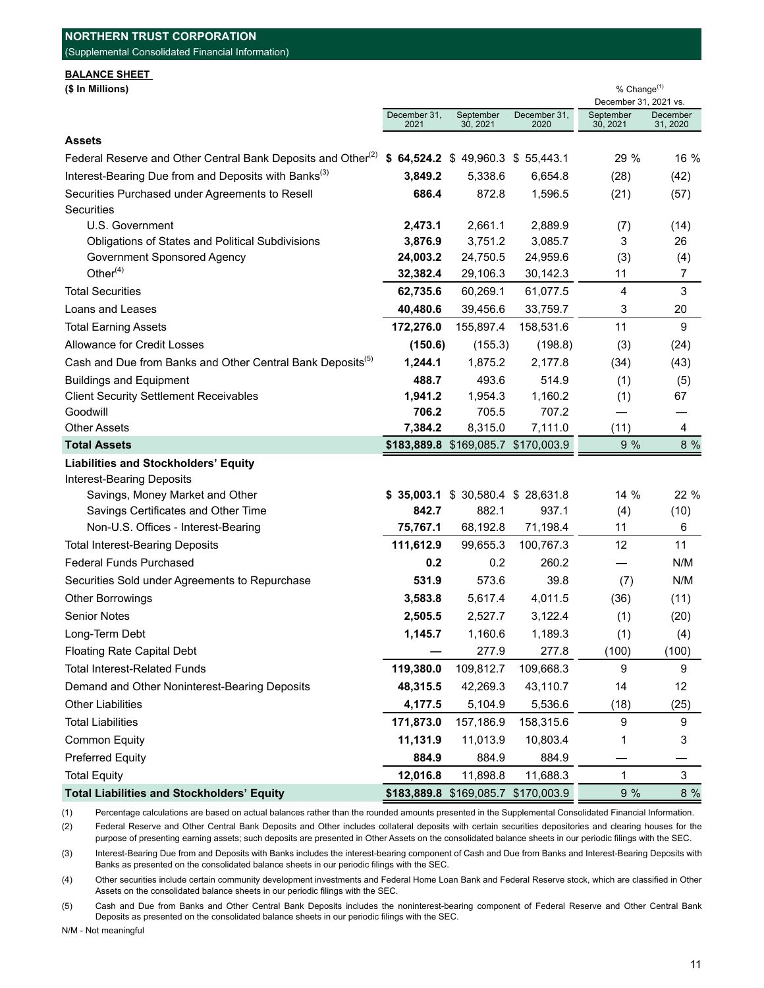| (Supplemental Consolidated Financial Information)                        |                      |                                     |                      |                                                  |                      |  |  |
|--------------------------------------------------------------------------|----------------------|-------------------------------------|----------------------|--------------------------------------------------|----------------------|--|--|
| <b>BALANCE SHEET</b><br>(\$ In Millions)                                 |                      |                                     |                      | % Change <sup>(1)</sup><br>December 31, 2021 vs. |                      |  |  |
|                                                                          | December 31,<br>2021 | September<br>30, 2021               | December 31,<br>2020 | September<br>30, 2021                            | December<br>31, 2020 |  |  |
| <b>Assets</b>                                                            |                      |                                     |                      |                                                  |                      |  |  |
| Federal Reserve and Other Central Bank Deposits and Other <sup>(2)</sup> |                      | $$64,524.2 \$49,960.3 \$55,443.1$   |                      | 29 %                                             | 16 %                 |  |  |
| Interest-Bearing Due from and Deposits with Banks <sup>(3)</sup>         | 3,849.2              | 5,338.6                             | 6,654.8              | (28)                                             | (42)                 |  |  |
| Securities Purchased under Agreements to Resell                          | 686.4                | 872.8                               | 1,596.5              | (21)                                             | (57)                 |  |  |
| <b>Securities</b>                                                        |                      |                                     |                      |                                                  |                      |  |  |
| U.S. Government                                                          | 2,473.1              | 2,661.1                             | 2,889.9              | (7)                                              | (14)                 |  |  |
| Obligations of States and Political Subdivisions                         | 3,876.9              | 3,751.2                             | 3,085.7              | 3                                                | 26                   |  |  |
| Government Sponsored Agency                                              | 24,003.2             | 24,750.5                            | 24,959.6             | (3)                                              | (4)                  |  |  |
| Other $(4)$                                                              | 32,382.4             | 29,106.3                            | 30,142.3             | 11                                               | 7                    |  |  |
| <b>Total Securities</b>                                                  | 62,735.6             | 60,269.1                            | 61,077.5             | 4                                                | 3                    |  |  |
| Loans and Leases                                                         | 40,480.6             | 39,456.6                            | 33,759.7             | 3                                                | 20                   |  |  |
| <b>Total Earning Assets</b>                                              | 172,276.0            | 155,897.4                           | 158,531.6            | 11                                               | 9                    |  |  |
| Allowance for Credit Losses                                              | (150.6)              | (155.3)                             | (198.8)              | (3)                                              | (24)                 |  |  |
| Cash and Due from Banks and Other Central Bank Deposits <sup>(5)</sup>   | 1,244.1              | 1,875.2                             | 2,177.8              | (34)                                             | (43)                 |  |  |
| <b>Buildings and Equipment</b>                                           | 488.7                | 493.6                               | 514.9                | (1)                                              | (5)                  |  |  |
| <b>Client Security Settlement Receivables</b>                            | 1,941.2              | 1,954.3                             | 1,160.2              | (1)                                              | 67                   |  |  |
| Goodwill                                                                 | 706.2                | 705.5                               | 707.2                |                                                  |                      |  |  |
| <b>Other Assets</b>                                                      | 7,384.2              | 8,315.0                             | 7,111.0              | (11)                                             | 4                    |  |  |
| <b>Total Assets</b>                                                      |                      | \$183,889.8 \$169,085.7 \$170,003.9 |                      | 9 %                                              | 8 %                  |  |  |
| <b>Liabilities and Stockholders' Equity</b>                              |                      |                                     |                      |                                                  |                      |  |  |
| <b>Interest-Bearing Deposits</b>                                         |                      |                                     |                      |                                                  |                      |  |  |
| Savings, Money Market and Other                                          |                      | $$35,003.1$ \$ 30,580.4 \$ 28,631.8 |                      | 14 %                                             | 22 %                 |  |  |
| Savings Certificates and Other Time                                      | 842.7                | 882.1                               | 937.1                | (4)                                              | (10)                 |  |  |
| Non-U.S. Offices - Interest-Bearing                                      | 75,767.1             | 68,192.8                            | 71,198.4             | 11                                               | 6                    |  |  |
| <b>Total Interest-Bearing Deposits</b>                                   | 111,612.9            | 99,655.3                            | 100,767.3            | 12                                               | 11                   |  |  |
| <b>Federal Funds Purchased</b>                                           | 0.2                  | 0.2                                 | 260.2                |                                                  | N/M                  |  |  |
| Securities Sold under Agreements to Repurchase                           | 531.9                | 573.6                               | 39.8                 | (7)                                              | N/M                  |  |  |
| <b>Other Borrowings</b>                                                  | 3,583.8              | 5,617.4                             | 4,011.5              | (36)                                             | (11)                 |  |  |
| <b>Senior Notes</b>                                                      | 2,505.5              | 2,527.7                             | 3,122.4              | (1)                                              | (20)                 |  |  |
| Long-Term Debt                                                           | 1,145.7              | 1,160.6                             | 1,189.3              | (1)                                              | (4)                  |  |  |
| <b>Floating Rate Capital Debt</b>                                        |                      | 277.9                               | 277.8                | (100)                                            | (100)                |  |  |
| <b>Total Interest-Related Funds</b>                                      | 119,380.0            | 109,812.7                           | 109,668.3            | 9                                                | 9                    |  |  |
| Demand and Other Noninterest-Bearing Deposits                            | 48,315.5             | 42,269.3                            | 43,110.7             | 14                                               | 12                   |  |  |
| <b>Other Liabilities</b>                                                 | 4,177.5              | 5,104.9                             | 5,536.6              | (18)                                             | (25)                 |  |  |
| <b>Total Liabilities</b>                                                 | 171,873.0            | 157,186.9                           | 158,315.6            | 9                                                | 9                    |  |  |
| <b>Common Equity</b>                                                     | 11,131.9             | 11,013.9                            | 10,803.4             | 1                                                | 3                    |  |  |
| <b>Preferred Equity</b>                                                  | 884.9                | 884.9                               | 884.9                |                                                  |                      |  |  |
| <b>Total Equity</b>                                                      | 12,016.8             | 11,898.8                            | 11,688.3             | $\mathbf{1}$                                     | $\mathfrak{S}$       |  |  |
| <b>Total Liabilities and Stockholders' Equity</b>                        |                      | \$183,889.8 \$169,085.7             | \$170,003.9          | 9%                                               | 8%                   |  |  |

(1) Percentage calculations are based on actual balances rather than the rounded amounts presented in the Supplemental Consolidated Financial Information.

(2) Federal Reserve and Other Central Bank Deposits and Other includes collateral deposits with certain securities depositories and clearing houses for the purpose of presenting earning assets; such deposits are presented in Other Assets on the consolidated balance sheets in our periodic filings with the SEC.

(3) Interest-Bearing Due from and Deposits with Banks includes the interest-bearing component of Cash and Due from Banks and Interest-Bearing Deposits with Banks as presented on the consolidated balance sheets in our periodic filings with the SEC.

(4) Other securities include certain community development investments and Federal Home Loan Bank and Federal Reserve stock, which are classified in Other Assets on the consolidated balance sheets in our periodic filings with the SEC.

(5) Cash and Due from Banks and Other Central Bank Deposits includes the noninterest-bearing component of Federal Reserve and Other Central Bank Deposits as presented on the consolidated balance sheets in our periodic filings with the SEC.

N/M - Not meaningful

**NORTHERN TRUST CORPORATION**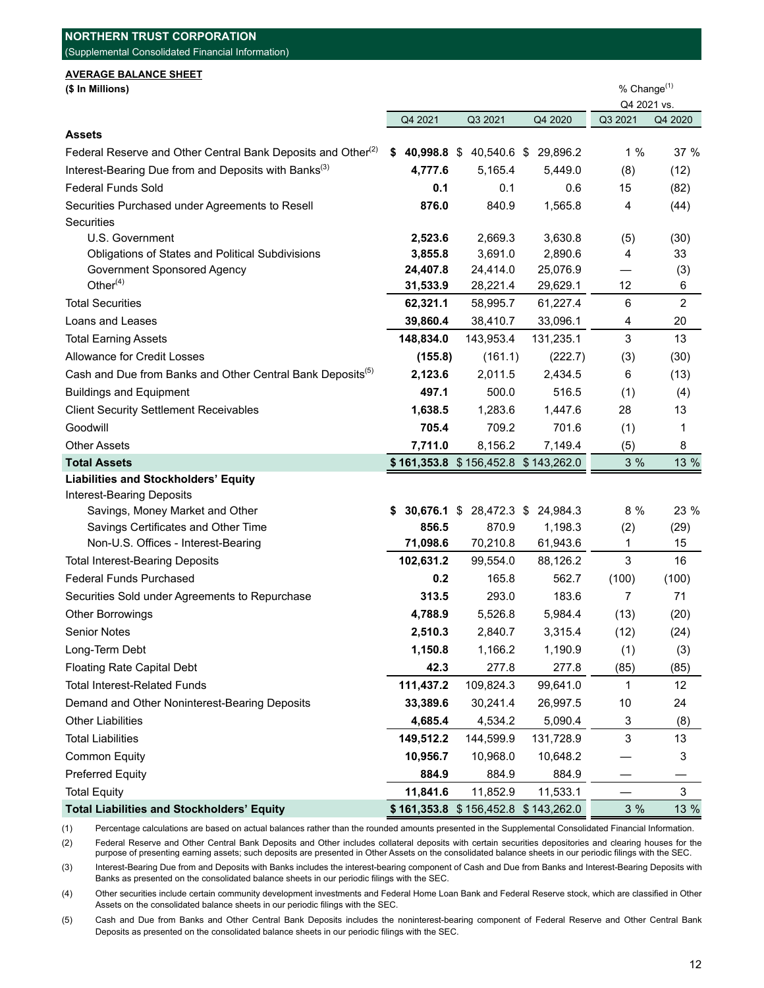| <b>AVERAGE BALANCE SHEET</b><br>(\$ In Millions)                         |            |                                     |                                     | % Change <sup>(1)</sup><br>Q4 2021 vs. |                |  |
|--------------------------------------------------------------------------|------------|-------------------------------------|-------------------------------------|----------------------------------------|----------------|--|
|                                                                          |            |                                     |                                     |                                        |                |  |
| Assets                                                                   | Q4 2021    | Q3 2021                             | Q4 2020                             | Q3 2021                                | Q4 2020        |  |
| Federal Reserve and Other Central Bank Deposits and Other <sup>(2)</sup> |            | \$40,998.8\$40,540.6\$              | 29,896.2                            | 1%                                     | 37 %           |  |
| Interest-Bearing Due from and Deposits with Banks <sup>(3)</sup>         | 4,777.6    | 5,165.4                             | 5.449.0                             | (8)                                    | (12)           |  |
| <b>Federal Funds Sold</b>                                                | 0.1        | 0.1                                 | 0.6                                 | 15                                     | (82)           |  |
| Securities Purchased under Agreements to Resell                          | 876.0      | 840.9                               | 1,565.8                             | 4                                      | (44)           |  |
| Securities                                                               |            |                                     |                                     |                                        |                |  |
| U.S. Government                                                          | 2,523.6    | 2,669.3                             | 3,630.8                             | (5)                                    | (30)           |  |
| Obligations of States and Political Subdivisions                         | 3,855.8    | 3,691.0                             | 2,890.6                             | 4                                      | 33             |  |
| Government Sponsored Agency                                              | 24,407.8   | 24,414.0                            | 25,076.9                            |                                        | (3)            |  |
| Other $(4)$                                                              | 31,533.9   | 28,221.4                            | 29,629.1                            | 12                                     | 6              |  |
| <b>Total Securities</b>                                                  | 62,321.1   | 58,995.7                            | 61,227.4                            | 6                                      | $\overline{2}$ |  |
| Loans and Leases                                                         | 39,860.4   | 38,410.7                            | 33,096.1                            | 4                                      | 20             |  |
| <b>Total Earning Assets</b>                                              | 148,834.0  | 143,953.4                           | 131,235.1                           | 3                                      | 13             |  |
| Allowance for Credit Losses                                              | (155.8)    | (161.1)                             | (222.7)                             | (3)                                    | (30)           |  |
| Cash and Due from Banks and Other Central Bank Deposits <sup>(5)</sup>   | 2,123.6    | 2,011.5                             | 2,434.5                             | 6                                      | (13)           |  |
| <b>Buildings and Equipment</b>                                           | 497.1      | 500.0                               | 516.5                               | (1)                                    | (4)            |  |
| <b>Client Security Settlement Receivables</b>                            | 1,638.5    | 1,283.6                             | 1,447.6                             | 28                                     | 13             |  |
| Goodwill                                                                 | 705.4      | 709.2                               | 701.6                               | (1)                                    | 1              |  |
| <b>Other Assets</b>                                                      | 7,711.0    | 8,156.2                             | 7,149.4                             | (5)                                    | 8              |  |
| <b>Total Assets</b>                                                      |            | \$161,353.8 \$156,452.8 \$143,262.0 |                                     | 3 %                                    | 13 %           |  |
| <b>Liabilities and Stockholders' Equity</b>                              |            |                                     |                                     |                                        |                |  |
| <b>Interest-Bearing Deposits</b>                                         |            |                                     |                                     |                                        |                |  |
| Savings, Money Market and Other<br>Savings Certificates and Other Time   | S<br>856.5 | 30,676.1 \$ 28,472.3 \$<br>870.9    | 24,984.3<br>1,198.3                 | 8 %<br>(2)                             | 23 %<br>(29)   |  |
| Non-U.S. Offices - Interest-Bearing                                      | 71,098.6   | 70,210.8                            | 61,943.6                            | 1                                      | 15             |  |
| <b>Total Interest-Bearing Deposits</b>                                   | 102,631.2  | 99,554.0                            | 88,126.2                            | 3                                      | 16             |  |
| <b>Federal Funds Purchased</b>                                           | 0.2        | 165.8                               | 562.7                               | (100)                                  | (100)          |  |
| Securities Sold under Agreements to Repurchase                           | 313.5      | 293.0                               | 183.6                               | 7                                      | 71             |  |
| Other Borrowings                                                         | 4,788.9    | 5,526.8                             | 5,984.4                             | (13)                                   | (20)           |  |
| Senior Notes                                                             | 2,510.3    | 2,840.7                             | 3,315.4                             | (12)                                   | (24)           |  |
| Long-Term Debt                                                           | 1,150.8    | 1,166.2                             | 1,190.9                             | (1)                                    | (3)            |  |
| <b>Floating Rate Capital Debt</b>                                        | 42.3       | 277.8                               | 277.8                               | (85)                                   | (85)           |  |
| <b>Total Interest-Related Funds</b>                                      | 111,437.2  | 109,824.3                           | 99,641.0                            | 1                                      | 12             |  |
| Demand and Other Noninterest-Bearing Deposits                            | 33,389.6   | 30,241.4                            | 26,997.5                            | 10                                     | 24             |  |
| <b>Other Liabilities</b>                                                 | 4,685.4    | 4,534.2                             | 5,090.4                             | 3                                      | (8)            |  |
| <b>Total Liabilities</b>                                                 | 149,512.2  | 144,599.9                           | 131,728.9                           | 3                                      | 13             |  |
| <b>Common Equity</b>                                                     | 10,956.7   | 10,968.0                            | 10,648.2                            |                                        | 3              |  |
| <b>Preferred Equity</b>                                                  | 884.9      | 884.9                               | 884.9                               |                                        |                |  |
| <b>Total Equity</b>                                                      | 11,841.6   | 11,852.9                            | 11,533.1                            |                                        | 3              |  |
| <b>Total Liabilities and Stockholders' Equity</b>                        |            |                                     | \$161,353.8 \$156,452.8 \$143,262.0 | 3%                                     | 13 %           |  |

**NORTHERN TRUST CORPORATION**

(1) Percentage calculations are based on actual balances rather than the rounded amounts presented in the Supplemental Consolidated Financial Information.

(2) Federal Reserve and Other Central Bank Deposits and Other includes collateral deposits with certain securities depositories and clearing houses for the purpose of presenting earning assets; such deposits are presented in Other Assets on the consolidated balance sheets in our periodic filings with the SEC.

(3) Interest-Bearing Due from and Deposits with Banks includes the interest-bearing component of Cash and Due from Banks and Interest-Bearing Deposits with Banks as presented on the consolidated balance sheets in our periodic filings with the SEC.

(4) Other securities include certain community development investments and Federal Home Loan Bank and Federal Reserve stock, which are classified in Other Assets on the consolidated balance sheets in our periodic filings with the SEC.

(5) Cash and Due from Banks and Other Central Bank Deposits includes the noninterest-bearing component of Federal Reserve and Other Central Bank Deposits as presented on the consolidated balance sheets in our periodic filings with the SEC.